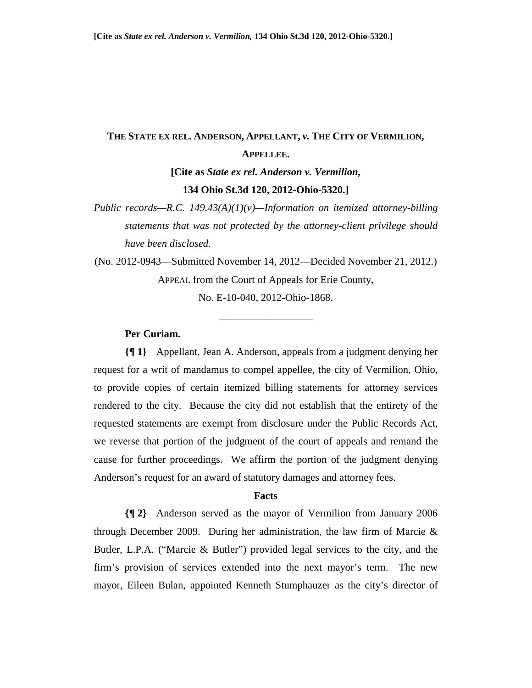# **THE STATE EX REL. ANDERSON, APPELLANT,** *v.* **THE CITY OF VERMILION, APPELLEE.**

**[Cite as** *State ex rel. Anderson v. Vermilion,* **134 Ohio St.3d 120, 2012-Ohio-5320.]** 

*Public records—R.C. 149.43(A)(1)(v)—Information on itemized attorney-billing statements that was not protected by the attorney-client privilege should have been disclosed.* 

(No. 2012-0943—Submitted November 14, 2012—Decided November 21, 2012.) APPEAL from the Court of Appeals for Erie County, No. E-10-040, 2012-Ohio-1868.

\_\_\_\_\_\_\_\_\_\_\_\_\_\_\_\_\_\_

# **Per Curiam.**

**{¶ 1}** Appellant, Jean A. Anderson, appeals from a judgment denying her request for a writ of mandamus to compel appellee, the city of Vermilion, Ohio, to provide copies of certain itemized billing statements for attorney services rendered to the city. Because the city did not establish that the entirety of the requested statements are exempt from disclosure under the Public Records Act, we reverse that portion of the judgment of the court of appeals and remand the cause for further proceedings. We affirm the portion of the judgment denying Anderson's request for an award of statutory damages and attorney fees.

#### **Facts**

**{¶ 2}** Anderson served as the mayor of Vermilion from January 2006 through December 2009. During her administration, the law firm of Marcie & Butler, L.P.A. ("Marcie & Butler") provided legal services to the city, and the firm's provision of services extended into the next mayor's term. The new mayor, Eileen Bulan, appointed Kenneth Stumphauzer as the city's director of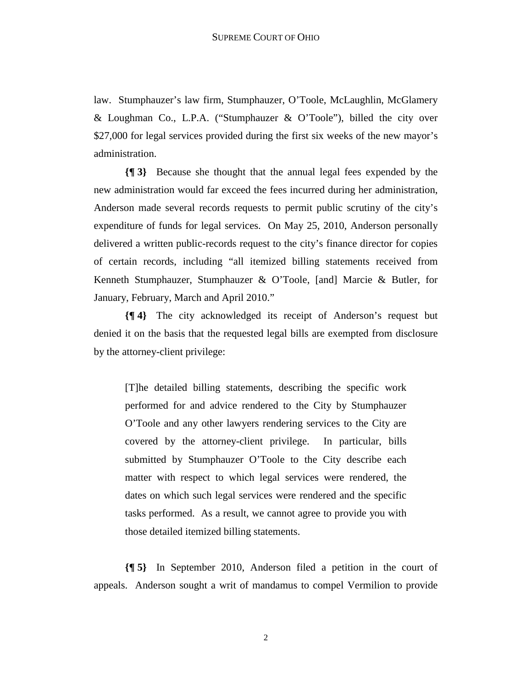law. Stumphauzer's law firm, Stumphauzer, O'Toole, McLaughlin, McGlamery & Loughman Co., L.P.A. ("Stumphauzer & O'Toole"), billed the city over \$27,000 for legal services provided during the first six weeks of the new mayor's administration.

**{¶ 3}** Because she thought that the annual legal fees expended by the new administration would far exceed the fees incurred during her administration, Anderson made several records requests to permit public scrutiny of the city's expenditure of funds for legal services. On May 25, 2010, Anderson personally delivered a written public-records request to the city's finance director for copies of certain records, including "all itemized billing statements received from Kenneth Stumphauzer, Stumphauzer & O'Toole, [and] Marcie & Butler, for January, February, March and April 2010."

**{¶ 4}** The city acknowledged its receipt of Anderson's request but denied it on the basis that the requested legal bills are exempted from disclosure by the attorney-client privilege:

[T]he detailed billing statements, describing the specific work performed for and advice rendered to the City by Stumphauzer O'Toole and any other lawyers rendering services to the City are covered by the attorney-client privilege. In particular, bills submitted by Stumphauzer O'Toole to the City describe each matter with respect to which legal services were rendered, the dates on which such legal services were rendered and the specific tasks performed. As a result, we cannot agree to provide you with those detailed itemized billing statements.

**{¶ 5}** In September 2010, Anderson filed a petition in the court of appeals. Anderson sought a writ of mandamus to compel Vermilion to provide

2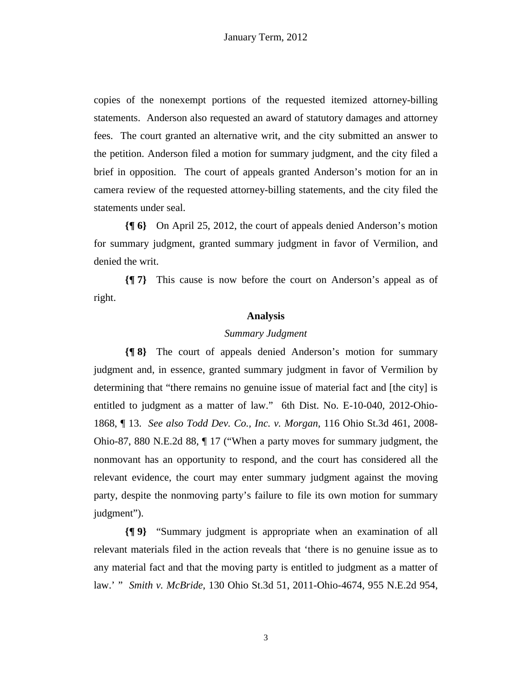copies of the nonexempt portions of the requested itemized attorney-billing statements. Anderson also requested an award of statutory damages and attorney fees. The court granted an alternative writ, and the city submitted an answer to the petition. Anderson filed a motion for summary judgment, and the city filed a brief in opposition. The court of appeals granted Anderson's motion for an in camera review of the requested attorney-billing statements, and the city filed the statements under seal.

**{¶ 6}** On April 25, 2012, the court of appeals denied Anderson's motion for summary judgment, granted summary judgment in favor of Vermilion, and denied the writ.

**{¶ 7}** This cause is now before the court on Anderson's appeal as of right.

#### **Analysis**

### *Summary Judgment*

**{¶ 8}** The court of appeals denied Anderson's motion for summary judgment and, in essence, granted summary judgment in favor of Vermilion by determining that "there remains no genuine issue of material fact and [the city] is entitled to judgment as a matter of law." 6th Dist. No. E-10-040, 2012-Ohio-1868, ¶ 13. *See also Todd Dev. Co., Inc. v. Morgan*, 116 Ohio St.3d 461, 2008- Ohio-87, 880 N.E.2d 88, ¶ 17 ("When a party moves for summary judgment, the nonmovant has an opportunity to respond, and the court has considered all the relevant evidence, the court may enter summary judgment against the moving party, despite the nonmoving party's failure to file its own motion for summary judgment").

**{¶ 9}** "Summary judgment is appropriate when an examination of all relevant materials filed in the action reveals that 'there is no genuine issue as to any material fact and that the moving party is entitled to judgment as a matter of law.' " *Smith v. McBride*, 130 Ohio St.3d 51, 2011-Ohio-4674, 955 N.E.2d 954,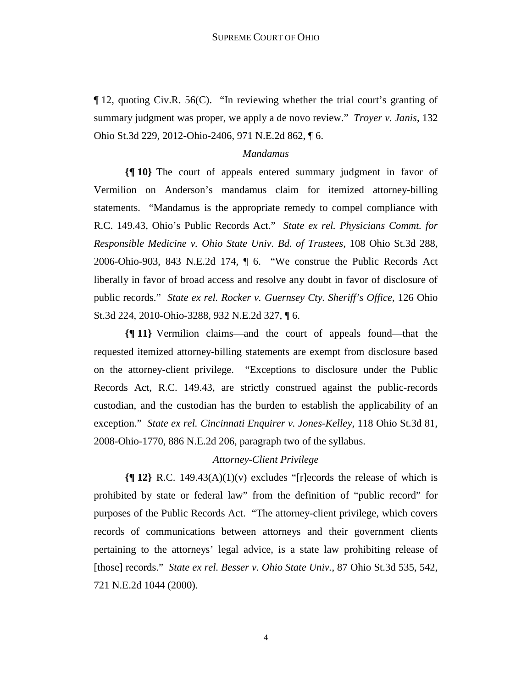¶ 12, quoting Civ.R. 56(C). "In reviewing whether the trial court's granting of summary judgment was proper, we apply a de novo review." *Troyer v. Janis*, 132 Ohio St.3d 229, 2012-Ohio-2406, 971 N.E.2d 862, ¶ 6.

# *Mandamus*

**{¶ 10}** The court of appeals entered summary judgment in favor of Vermilion on Anderson's mandamus claim for itemized attorney-billing statements. "Mandamus is the appropriate remedy to compel compliance with R.C. 149.43, Ohio's Public Records Act." *State ex rel. Physicians Commt. for Responsible Medicine v. Ohio State Univ. Bd. of Trustees*, 108 Ohio St.3d 288, 2006-Ohio-903, 843 N.E.2d 174, ¶ 6. "We construe the Public Records Act liberally in favor of broad access and resolve any doubt in favor of disclosure of public records." *State ex rel. Rocker v. Guernsey Cty. Sheriff's Office*, 126 Ohio St.3d 224, 2010-Ohio-3288, 932 N.E.2d 327, ¶ 6.

**{¶ 11}** Vermilion claims—and the court of appeals found—that the requested itemized attorney-billing statements are exempt from disclosure based on the attorney-client privilege. "Exceptions to disclosure under the Public Records Act, R.C. 149.43, are strictly construed against the public-records custodian, and the custodian has the burden to establish the applicability of an exception." *State ex rel. Cincinnati Enquirer v. Jones-Kelley*, 118 Ohio St.3d 81, 2008-Ohio-1770, 886 N.E.2d 206, paragraph two of the syllabus.

# *Attorney-Client Privilege*

**{¶ 12}** R.C. 149.43(A)(1)(v) excludes "[r]ecords the release of which is prohibited by state or federal law" from the definition of "public record" for purposes of the Public Records Act. "The attorney-client privilege, which covers records of communications between attorneys and their government clients pertaining to the attorneys' legal advice, is a state law prohibiting release of [those] records." *State ex rel. Besser v. Ohio State Univ.*, 87 Ohio St.3d 535, 542, 721 N.E.2d 1044 (2000).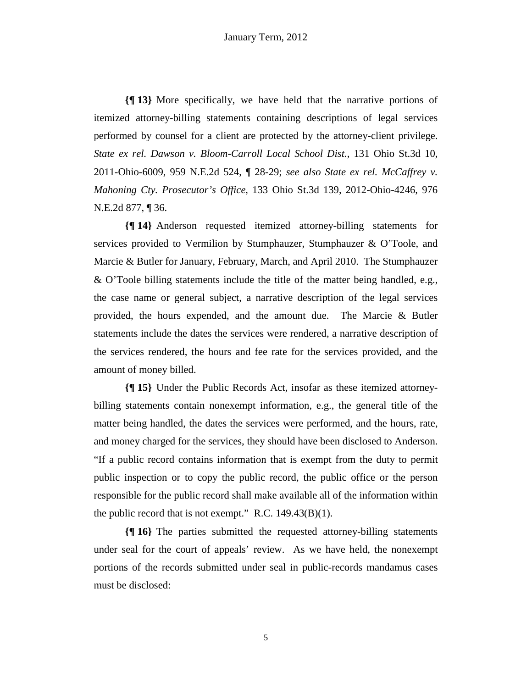**{¶ 13}** More specifically, we have held that the narrative portions of itemized attorney-billing statements containing descriptions of legal services performed by counsel for a client are protected by the attorney-client privilege. *State ex rel. Dawson v. Bloom-Carroll Local School Dist.*, 131 Ohio St.3d 10, 2011-Ohio-6009, 959 N.E.2d 524, ¶ 28-29; *see also State ex rel. McCaffrey v. Mahoning Cty. Prosecutor's Office*, 133 Ohio St.3d 139, 2012-Ohio-4246, 976 N.E.2d 877, ¶ 36.

**{¶ 14}** Anderson requested itemized attorney-billing statements for services provided to Vermilion by Stumphauzer, Stumphauzer & O'Toole, and Marcie & Butler for January, February, March, and April 2010. The Stumphauzer & O'Toole billing statements include the title of the matter being handled, e.g., the case name or general subject, a narrative description of the legal services provided, the hours expended, and the amount due. The Marcie & Butler statements include the dates the services were rendered, a narrative description of the services rendered, the hours and fee rate for the services provided, and the amount of money billed.

**{¶ 15}** Under the Public Records Act, insofar as these itemized attorneybilling statements contain nonexempt information, e.g., the general title of the matter being handled, the dates the services were performed, and the hours, rate, and money charged for the services, they should have been disclosed to Anderson. "If a public record contains information that is exempt from the duty to permit public inspection or to copy the public record, the public office or the person responsible for the public record shall make available all of the information within the public record that is not exempt." R.C. 149.43(B)(1).

**{¶ 16}** The parties submitted the requested attorney-billing statements under seal for the court of appeals' review. As we have held, the nonexempt portions of the records submitted under seal in public-records mandamus cases must be disclosed: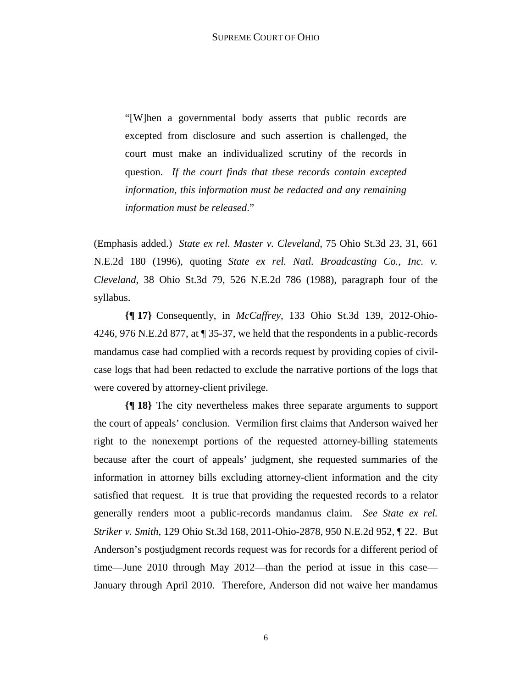"[W]hen a governmental body asserts that public records are excepted from disclosure and such assertion is challenged, the court must make an individualized scrutiny of the records in question. *If the court finds that these records contain excepted information, this information must be redacted and any remaining information must be released*."

(Emphasis added.) *State ex rel. Master v. Cleveland*, 75 Ohio St.3d 23, 31, 661 N.E.2d 180 (1996), quoting *State ex rel. Natl. Broadcasting Co., Inc. v. Cleveland*, 38 Ohio St.3d 79, 526 N.E.2d 786 (1988), paragraph four of the syllabus.

**{¶ 17}** Consequently, in *McCaffrey*, 133 Ohio St.3d 139, 2012-Ohio-4246, 976 N.E.2d 877, at ¶ 35-37, we held that the respondents in a public-records mandamus case had complied with a records request by providing copies of civilcase logs that had been redacted to exclude the narrative portions of the logs that were covered by attorney-client privilege.

**{¶ 18}** The city nevertheless makes three separate arguments to support the court of appeals' conclusion. Vermilion first claims that Anderson waived her right to the nonexempt portions of the requested attorney-billing statements because after the court of appeals' judgment, she requested summaries of the information in attorney bills excluding attorney-client information and the city satisfied that request. It is true that providing the requested records to a relator generally renders moot a public-records mandamus claim. *See State ex rel. Striker v. Smith*, 129 Ohio St.3d 168, 2011-Ohio-2878, 950 N.E.2d 952, ¶ 22. But Anderson's postjudgment records request was for records for a different period of time—June 2010 through May 2012—than the period at issue in this case— January through April 2010. Therefore, Anderson did not waive her mandamus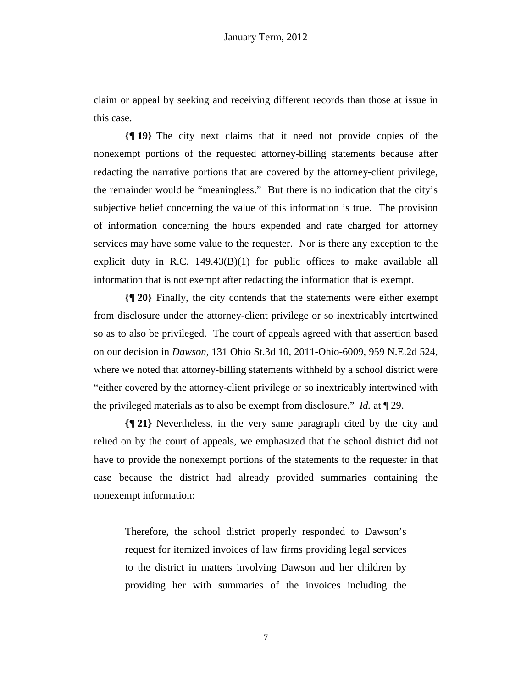claim or appeal by seeking and receiving different records than those at issue in this case.

**{¶ 19}** The city next claims that it need not provide copies of the nonexempt portions of the requested attorney-billing statements because after redacting the narrative portions that are covered by the attorney-client privilege, the remainder would be "meaningless." But there is no indication that the city's subjective belief concerning the value of this information is true. The provision of information concerning the hours expended and rate charged for attorney services may have some value to the requester. Nor is there any exception to the explicit duty in R.C.  $149.43(B)(1)$  for public offices to make available all information that is not exempt after redacting the information that is exempt.

**{¶ 20}** Finally, the city contends that the statements were either exempt from disclosure under the attorney-client privilege or so inextricably intertwined so as to also be privileged. The court of appeals agreed with that assertion based on our decision in *Dawson*, 131 Ohio St.3d 10, 2011-Ohio-6009, 959 N.E.2d 524, where we noted that attorney-billing statements withheld by a school district were "either covered by the attorney-client privilege or so inextricably intertwined with the privileged materials as to also be exempt from disclosure." *Id.* at ¶ 29.

**{¶ 21}** Nevertheless, in the very same paragraph cited by the city and relied on by the court of appeals, we emphasized that the school district did not have to provide the nonexempt portions of the statements to the requester in that case because the district had already provided summaries containing the nonexempt information:

Therefore, the school district properly responded to Dawson's request for itemized invoices of law firms providing legal services to the district in matters involving Dawson and her children by providing her with summaries of the invoices including the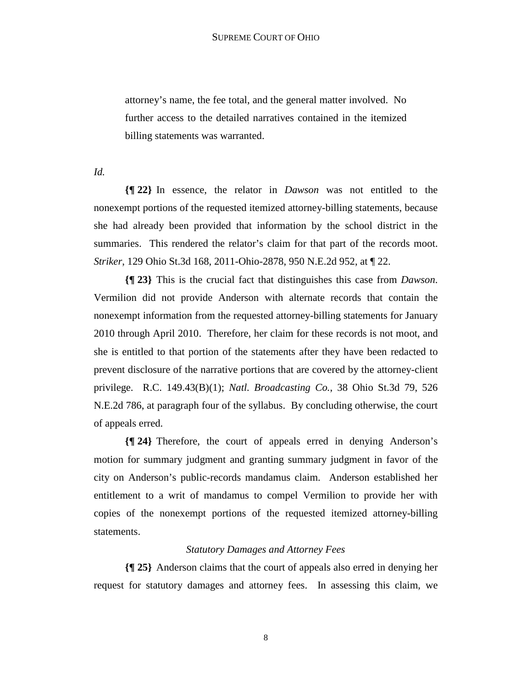attorney's name, the fee total, and the general matter involved. No further access to the detailed narratives contained in the itemized billing statements was warranted.

*Id.*

**{¶ 22}** In essence, the relator in *Dawson* was not entitled to the nonexempt portions of the requested itemized attorney-billing statements, because she had already been provided that information by the school district in the summaries. This rendered the relator's claim for that part of the records moot. *Striker*, 129 Ohio St.3d 168, 2011-Ohio-2878, 950 N.E.2d 952, at ¶ 22.

**{¶ 23}** This is the crucial fact that distinguishes this case from *Dawson*. Vermilion did not provide Anderson with alternate records that contain the nonexempt information from the requested attorney-billing statements for January 2010 through April 2010. Therefore, her claim for these records is not moot, and she is entitled to that portion of the statements after they have been redacted to prevent disclosure of the narrative portions that are covered by the attorney-client privilege. R.C. 149.43(B)(1); *Natl. Broadcasting Co.*, 38 Ohio St.3d 79, 526 N.E.2d 786, at paragraph four of the syllabus. By concluding otherwise, the court of appeals erred.

**{¶ 24}** Therefore, the court of appeals erred in denying Anderson's motion for summary judgment and granting summary judgment in favor of the city on Anderson's public-records mandamus claim. Anderson established her entitlement to a writ of mandamus to compel Vermilion to provide her with copies of the nonexempt portions of the requested itemized attorney-billing statements.

# *Statutory Damages and Attorney Fees*

**{¶ 25}** Anderson claims that the court of appeals also erred in denying her request for statutory damages and attorney fees. In assessing this claim, we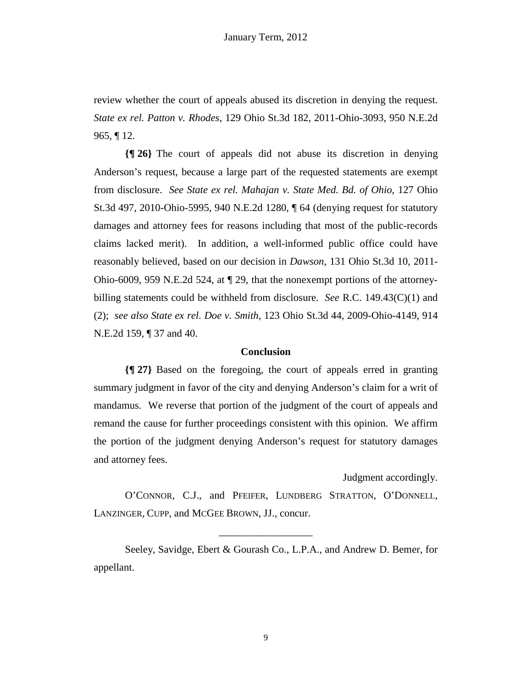review whether the court of appeals abused its discretion in denying the request. *State ex rel. Patton v. Rhodes*, 129 Ohio St.3d 182, 2011-Ohio-3093, 950 N.E.2d  $965, \P 12.$ 

**{¶ 26}** The court of appeals did not abuse its discretion in denying Anderson's request, because a large part of the requested statements are exempt from disclosure. *See State ex rel. Mahajan v. State Med. Bd. of Ohio,* 127 Ohio St.3d 497, 2010-Ohio-5995, 940 N.E.2d 1280, ¶ 64 (denying request for statutory damages and attorney fees for reasons including that most of the public-records claims lacked merit). In addition, a well-informed public office could have reasonably believed, based on our decision in *Dawson*, 131 Ohio St.3d 10, 2011- Ohio-6009, 959 N.E.2d 524, at ¶ 29, that the nonexempt portions of the attorneybilling statements could be withheld from disclosure. *See* R.C. 149.43(C)(1) and (2); *see also State ex rel. Doe v. Smith*, 123 Ohio St.3d 44, 2009-Ohio-4149, 914 N.E.2d 159, ¶ 37 and 40.

### **Conclusion**

**{¶ 27}** Based on the foregoing, the court of appeals erred in granting summary judgment in favor of the city and denying Anderson's claim for a writ of mandamus. We reverse that portion of the judgment of the court of appeals and remand the cause for further proceedings consistent with this opinion. We affirm the portion of the judgment denying Anderson's request for statutory damages and attorney fees.

Judgment accordingly.

O'CONNOR, C.J., and PFEIFER, LUNDBERG STRATTON, O'DONNELL, LANZINGER, CUPP, and MCGEE BROWN, JJ., concur.

\_\_\_\_\_\_\_\_\_\_\_\_\_\_\_\_\_\_

 Seeley, Savidge, Ebert & Gourash Co., L.P.A., and Andrew D. Bemer, for appellant.